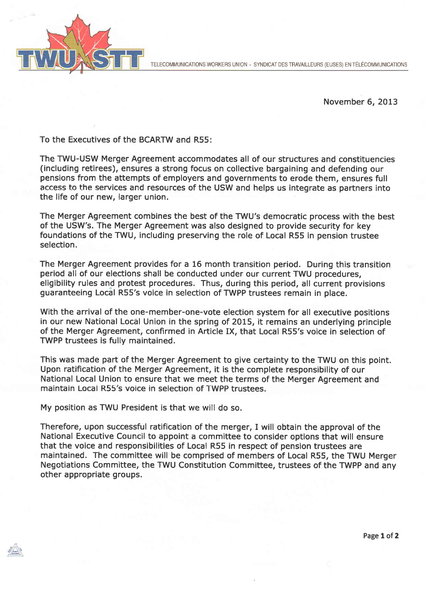



November 6, 2013

To the Executives of the BCARTW and R55:

The TWU-USW Merger Agreement accommodates all of our structures and constituencies (including retirees), ensures a strong focus on collective bargaining and defending our pensions from the attempts of employers and governments to erode them, ensures full access to the services and resources of the USW and helps us integrate as partners into the life of our new, larger union.

The Merger Agreement combines the best of the TWU's democratic process with the best of the USW's. The Merger Agreement was also designed to provide security for key foundations of the TWU, including preserving the role of Local R55 in pension trustee selection.

The Merger Agreement provides for a 16 month transition period. During this transition period all of our elections shall be conducted under our current TWU procedures, eligibility rules and protest procedures. Thus, during this period, all current provisions guaranteeing Local R55's voice in selection of TWPP trustees remain in place.

With the arrival of the one-member-one-vote election system for all executive positions in our new National Local Union in the spring of 2015, it remains an underlying principle of the Merger Agreement, confirmed in Article IX, that Local R55's voice in selection of TWPP trustees is fully maintained.

This was made part of the Merger Agreement to give certainty to the TWU on this point. Upon ratification of the Merger Agreement, it is the complete responsibility of our National Local Union to ensure that we meet the terms of the Merger Agreement and maintain Locai R55's voice in selection of TWPP trustees.

My position as TWU President is that we will do so.

Therefore, upon successful ratification of the merger, I will obtain the approval of the National Executive Council to appoint a committee to consider options that will ensure that the voice and responsibilities of Local R55 in respect of pension trustees are maintained. The committee will be comprised of members of Local R55, the TWU Merger Negotiations Committee, the TWU Constitution Committee, trustees of the TWPP and any other appropriate groups.